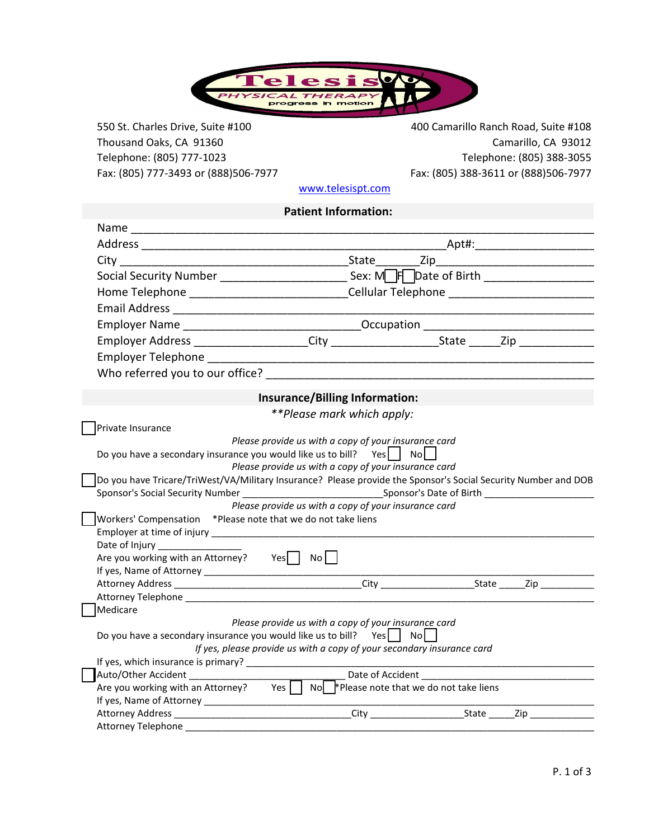

Thousand Oaks, CA 91360 Telephone: (805) 777-1023<br>Fax: (805) 777-3493 or (888)506-7977 Fax: (805) 388-3611 or (888)506-7977

550 St. Charles Drive, Suite #100 400 Camarillo Ranch Road, Suite #108 Fax: (805) 388-3611 or (888)506-7977

www.telesispt.com

## **Patient Information:**

|                                                                                                                        | Social Security Number ______________________________Sex: MOFOate of Birth ________________________                                                                                                                                                                                                                   |                                                        |
|------------------------------------------------------------------------------------------------------------------------|-----------------------------------------------------------------------------------------------------------------------------------------------------------------------------------------------------------------------------------------------------------------------------------------------------------------------|--------------------------------------------------------|
|                                                                                                                        | Home Telephone _______________________________Cellular Telephone ________________                                                                                                                                                                                                                                     |                                                        |
|                                                                                                                        |                                                                                                                                                                                                                                                                                                                       |                                                        |
|                                                                                                                        | Employer Name ___________________________________Occupation _____________________                                                                                                                                                                                                                                     |                                                        |
|                                                                                                                        | Employer Address ____________________City ________________________State ______Zip _________________                                                                                                                                                                                                                   |                                                        |
|                                                                                                                        |                                                                                                                                                                                                                                                                                                                       |                                                        |
|                                                                                                                        |                                                                                                                                                                                                                                                                                                                       |                                                        |
|                                                                                                                        |                                                                                                                                                                                                                                                                                                                       |                                                        |
|                                                                                                                        | Insurance/Billing Information:                                                                                                                                                                                                                                                                                        |                                                        |
|                                                                                                                        | **Please mark which apply:                                                                                                                                                                                                                                                                                            |                                                        |
| Private Insurance                                                                                                      |                                                                                                                                                                                                                                                                                                                       |                                                        |
| Workers' Compensation *Please note that we do not take liens<br>Are you working with an Attorney? Yes $\Box$ No $\Box$ | Do you have a secondary insurance you would like us to bill? Yes $\vert$ No $\vert$<br>Please provide us with a copy of your insurance card<br>Do you have Tricare/TriWest/VA/Military Insurance? Please provide the Sponsor's Social Security Number and DOB<br>Please provide us with a copy of your insurance card |                                                        |
|                                                                                                                        |                                                                                                                                                                                                                                                                                                                       |                                                        |
|                                                                                                                        |                                                                                                                                                                                                                                                                                                                       |                                                        |
|                                                                                                                        |                                                                                                                                                                                                                                                                                                                       |                                                        |
| Medicare                                                                                                               |                                                                                                                                                                                                                                                                                                                       |                                                        |
|                                                                                                                        | Please provide us with a copy of your insurance card<br>Do you have a secondary insurance you would like us to bill? Yes $\begin{bmatrix} 1 & \text{No} \end{bmatrix}$<br>If yes, please provide us with a copy of your secondary insurance card                                                                      |                                                        |
|                                                                                                                        |                                                                                                                                                                                                                                                                                                                       |                                                        |
| Auto/Other Accident _______________                                                                                    |                                                                                                                                                                                                                                                                                                                       | Date of Accident <b>Container and Separate Section</b> |
|                                                                                                                        | Are you working with an Attorney? Yes $\vert \vert$ No $\vert$ * Please note that we do not take liens                                                                                                                                                                                                                |                                                        |
|                                                                                                                        |                                                                                                                                                                                                                                                                                                                       |                                                        |
|                                                                                                                        |                                                                                                                                                                                                                                                                                                                       |                                                        |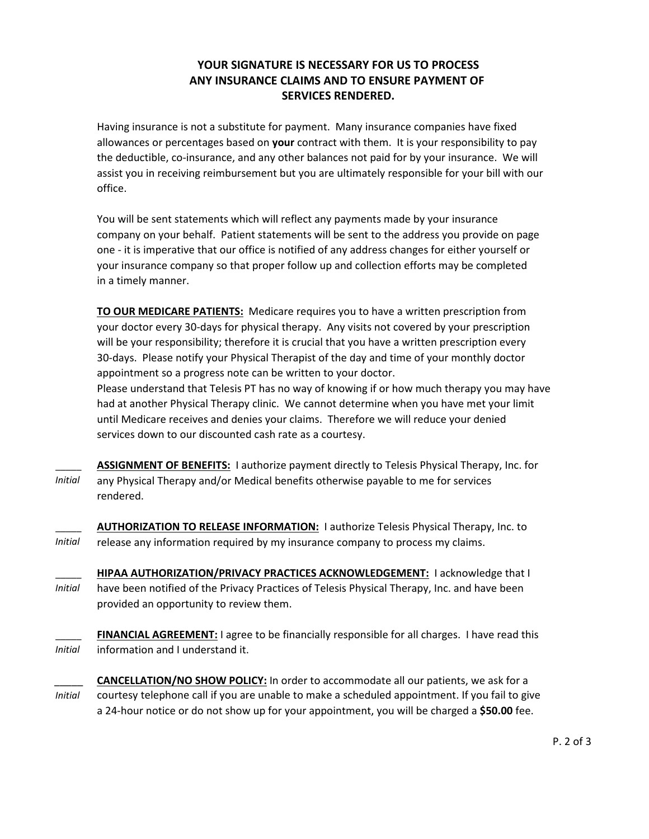# **YOUR SIGNATURE IS NECESSARY FOR US TO PROCESS ANY INSURANCE CLAIMS AND TO ENSURE PAYMENT OF SERVICES RENDERED.**

allowances or percentages based on **your** contract with them. It is your responsibility to pay Having insurance is not a substitute for payment. Many insurance companies have fixed office. assist you in receiving reimbursement but you are ultimately responsible for your bill with our the deductible, co-insurance, and any other balances not paid for by your insurance. We will

in a timely manner. your insurance company so that proper follow up and collection efforts may be completed one - it is imperative that our office is notified of any address changes for either yourself or company on your behalf. Patient statements will be sent to the address you provide on page You will be sent statements which will reflect any payments made by your insurance

your doctor every 30-days for physical therapy. Any visits not covered by your prescription **TO OUR MEDICARE PATIENTS:** Medicare requires you to have a written prescription from appointment so a progress note can be written to your doctor. 30-days. Please notify your Physical Therapist of the day and time of your monthly doctor will be your responsibility; therefore it is crucial that you have a written prescription every

Please understand that Telesis PT has no way of knowing if or how much therapy you may have had at another Physical Therapy clinic. We cannot determine when you have met your limit until Medicare receives and denies your claims. Therefore we will reduce your denied services down to our discounted cash rate as a courtesy.

- $\overline{\phantom{a}}$ *Initial* rendered. any Physical Therapy and/or Medical benefits otherwise payable to me for services **ASSIGNMENT OF BENEFITS:** I authorize payment directly to Telesis Physical Therapy, Inc. for
- \_\_\_\_\_ *Initial* release any information required by my insurance company to process my claims. **AUTHORIZATION TO RELEASE INFORMATION:** I authorize Telesis Physical Therapy, Inc. to

\_\_\_\_\_ *Initial* provided an opportunity to review them. have been notified of the Privacy Practices of Telesis Physical Therapy, Inc. and have been **HIPAA AUTHORIZATION/PRIVACY PRACTICES ACKNOWLEDGEMENT:** I acknowledge that I

- \_\_\_\_\_ *Initial* **FINANCIAL AGREEMENT:** I agree to be financially responsible for all charges. I have read this information and I understand it.
- \_\_\_\_\_ *Initial* courtesy telephone call if you are unable to make a scheduled appointment. If you fail to give a 24-hour notice or do not show up for your appointment, you will be charged a **\$50.00** fee. **CANCELLATION/NO SHOW POLICY:** In order to accommodate all our patients, we ask for a